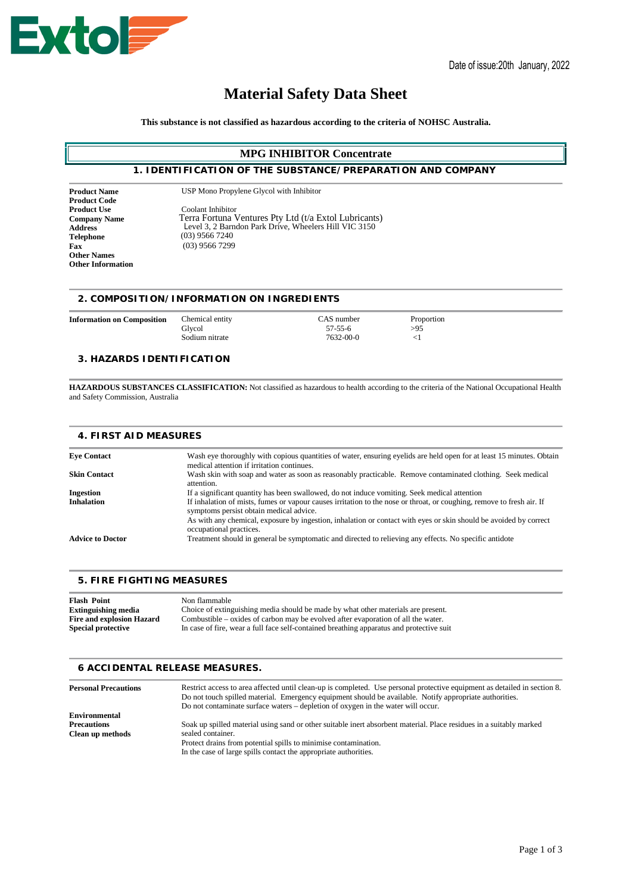

# **Material Safety Data Sheet**

**This substance is not classified as hazardous according to the criteria of NOHSC Australia.**

# **MPG INHIBITOR Concentrate**

# **1. IDENTIFICATION OF THE SUBSTANCE/PREPARATION AND COMPANY**

**Product Code Address Telephone Fax Other Names Other Information**

Product Name USP Mono Propylene Glycol with Inhibitor

**Product Use** Coolant Inhibitor **Company Name** Terra Fortuna Ventures Pty Ltd (t/a Extol Lubricants) Level 3, 2 Barndon Park Drive, Wheelers Hill VIC 3150 (03) 9566 7240 (03) 9566 7299

#### **2. COMPOSITION/INFORMATION ON INGREDIENTS**

**Information on Composition** Chemical entity CAS number Proportion Proportion Glycol 57-55-6 >95

Glycol  $57-55-6$   $>95$ Sodium nitrate 7632-00-0 <1

### **3. HAZARDS IDENTIFICATION**

**HAZARDOUS SUBSTANCES CLASSIFICATION:** Not classified as hazardous to health according to the criteria of the National Occupational Health and Safety Commission, Australia

# **4. FIRST AID MEASURES**

| <b>Eve Contact</b>      | Wash eye thoroughly with copious quantities of water, ensuring eyelids are held open for at least 15 minutes. Obtain<br>medical attention if irritation continues. |
|-------------------------|--------------------------------------------------------------------------------------------------------------------------------------------------------------------|
| <b>Skin Contact</b>     | Wash skin with soap and water as soon as reasonably practicable. Remove contaminated clothing. Seek medical<br>attention.                                          |
| <b>Ingestion</b>        | If a significant quantity has been swallowed, do not induce vomiting. Seek medical attention                                                                       |
| <b>Inhalation</b>       | If inhalation of mists, fumes or vapour causes irritation to the nose or throat, or coughing, remove to fresh air. If<br>symptoms persist obtain medical advice.   |
|                         | As with any chemical, exposure by ingestion, inhalation or contact with eyes or skin should be avoided by correct<br>occupational practices.                       |
| <b>Advice to Doctor</b> | Treatment should in general be symptomatic and directed to relieving any effects. No specific antidote                                                             |
|                         |                                                                                                                                                                    |

#### **5. FIRE FIGHTING MEASURES**

| <b>Flash Point</b>               | Non flammable                                                                            |
|----------------------------------|------------------------------------------------------------------------------------------|
| <b>Extinguishing media</b>       | Choice of extinguishing media should be made by what other materials are present.        |
| <b>Fire and explosion Hazard</b> | Combustible – oxides of carbon may be evolved after evaporation of all the water.        |
| <b>Special protective</b>        | In case of fire, wear a full face self-contained breathing apparatus and protective suit |

#### **6 ACCIDENTAL RELEASE MEASURES.**

| <b>Personal Precautions</b> | Restrict access to area affected until clean-up is completed. Use personal protective equipment as detailed in section 8.<br>Do not touch spilled material. Emergency equipment should be available. Notify appropriate authorities.<br>Do not contaminate surface waters – depletion of oxygen in the water will occur. |
|-----------------------------|--------------------------------------------------------------------------------------------------------------------------------------------------------------------------------------------------------------------------------------------------------------------------------------------------------------------------|
| <b>Environmental</b>        |                                                                                                                                                                                                                                                                                                                          |
| <b>Precautions</b>          | Soak up spilled material using sand or other suitable inert absorbent material. Place residues in a suitably marked                                                                                                                                                                                                      |
| Clean up methods            | sealed container.                                                                                                                                                                                                                                                                                                        |
|                             | Protect drains from potential spills to minimise contamination.                                                                                                                                                                                                                                                          |
|                             | In the case of large spills contact the appropriate authorities.                                                                                                                                                                                                                                                         |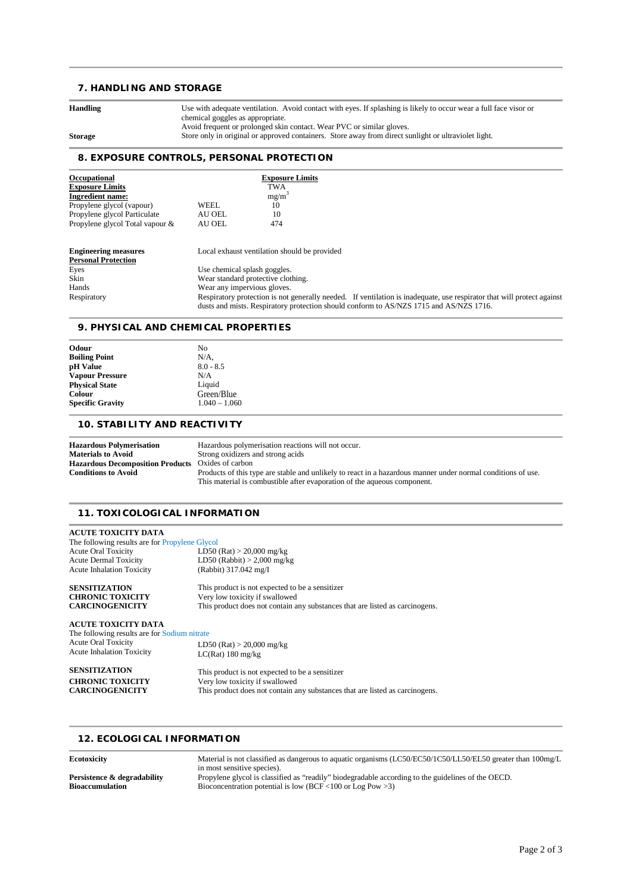# **7. HANDLING AND STORAGE**

| <b>Handling</b> | Use with adequate ventilation. Avoid contact with eyes. If splashing is likely to occur wear a full face visor or<br>chemical goggles as appropriate.                         |
|-----------------|-------------------------------------------------------------------------------------------------------------------------------------------------------------------------------|
| <b>Storage</b>  | Avoid frequent or prolonged skin contact. Wear PVC or similar gloves.<br>Store only in original or approved containers. Store away from direct sunlight or ultraviolet light. |

# **8. EXPOSURE CONTROLS, PERSONAL PROTECTION**

| Occupational                    | <b>Exposure Limits</b>                                                                                                                                                                                           |
|---------------------------------|------------------------------------------------------------------------------------------------------------------------------------------------------------------------------------------------------------------|
| <b>Exposure Limits</b>          | TWA                                                                                                                                                                                                              |
| <b>Ingredient name:</b>         | $mg/m^3$                                                                                                                                                                                                         |
| Propylene glycol (vapour)       | WEEL.<br>10                                                                                                                                                                                                      |
| Propylene glycol Particulate    | 10<br>AU OEL                                                                                                                                                                                                     |
| Propylene glycol Total vapour & | 474<br>AU OEL                                                                                                                                                                                                    |
| <b>Engineering measures</b>     | Local exhaust ventilation should be provided                                                                                                                                                                     |
| <b>Personal Protection</b>      |                                                                                                                                                                                                                  |
| Eyes                            | Use chemical splash goggles.                                                                                                                                                                                     |
| Skin                            | Wear standard protective clothing.                                                                                                                                                                               |
| Hands                           | Wear any impervious gloves.                                                                                                                                                                                      |
| Respiratory                     | Respiratory protection is not generally needed. If ventilation is inadequate, use respirator that will protect against<br>dusts and mists. Respiratory protection should conform to AS/NZS 1715 and AS/NZS 1716. |

#### **9. PHYSICAL AND CHEMICAL PROPERTIES**

| Odour                        | No              |  |
|------------------------------|-----------------|--|
| <b>Boiling Point</b>         | $N/A$ ,         |  |
| pH Value                     | $8.0 - 8.5$     |  |
| <b>Vapour Pressure</b>       | N/A             |  |
| <b>Physical State</b>        | Liquid          |  |
| <b>Colour</b>                | Green/Blue      |  |
| <b>Specific Gravity</b>      | $1.040 - 1.060$ |  |
| 10. STABILITY AND REACTIVITY |                 |  |

# **Hazardous Polymerisation** Hazardous polymerisation reactions will not occur.<br> **Materials to Avoid** Strong oxidizers and strong acids **Materials to Avoid** Strong oxidizers and strong acids<br> **Hazardous Decomposition Products** Oxides of carbon **Hazardous Decomposition Products** Oxides of carbon

| nauchais to Avolu                                        | buong oxidizers and subig acids                                                                              |
|----------------------------------------------------------|--------------------------------------------------------------------------------------------------------------|
| <b>Hazardous Decomposition Products</b> Oxides of carbon |                                                                                                              |
| <b>Conditions to Avoid</b>                               | Products of this type are stable and unlikely to react in a hazardous manner under normal conditions of use. |
|                                                          | This material is combustible after evaporation of the aqueous component.                                     |

# **11. TOXICOLOGICAL INFORMATION**

| ACUTE TOXICITY DATA                                   |                                                                              |
|-------------------------------------------------------|------------------------------------------------------------------------------|
| The following results are for <b>Propylene Glycol</b> |                                                                              |
| <b>Acute Oral Toxicity</b>                            | LD50 (Rat) > 20,000 mg/kg                                                    |
| <b>Acute Dermal Toxicity</b>                          | LD50 (Rabbit) $>$ 2,000 mg/kg                                                |
| <b>Acute Inhalation Toxicity</b>                      | (Rabbit) 317.042 mg/I                                                        |
| <b>SENSITIZATION</b>                                  | This product is not expected to be a sensitizer                              |
| <b>CHRONIC TOXICITY</b>                               | Very low toxicity if swallowed                                               |
| <b>CARCINOGENICITY</b>                                | This product does not contain any substances that are listed as carcinogens. |
| ACUTE TOXICITY DATA                                   |                                                                              |
| The following results are for Sodium nitrate          |                                                                              |
| <b>Acute Oral Toxicity</b>                            | LD50 (Rat) > 20,000 mg/kg                                                    |
| <b>Acute Inhalation Toxicity</b>                      | $LC(Rat)$ 180 mg/kg                                                          |
| <b>SENSITIZATION</b>                                  | This product is not expected to be a sensitizer                              |
| <b>CHRONIC TOXICITY</b>                               | Very low toxicity if swallowed                                               |

**CARCINOGENICITY** This product does not contain any substances that are listed as carcinogens.

# **12. ECOLOGICAL INFORMATION**

| <b>Ecotoxicity</b>          | Material is not classified as dangerous to aquatic organisms (LC50/EC50/1C50/LL50/EL50 greater than 100mg/L |
|-----------------------------|-------------------------------------------------------------------------------------------------------------|
|                             | in most sensitive species).                                                                                 |
| Persistence & degradability | Propylene glycol is classified as "readily" biodegradable according to the guidelines of the OECD.          |
| <b>Bioaccumulation</b>      | Bioconcentration potential is low (BCF <100 or Log Pow > 3)                                                 |
|                             |                                                                                                             |